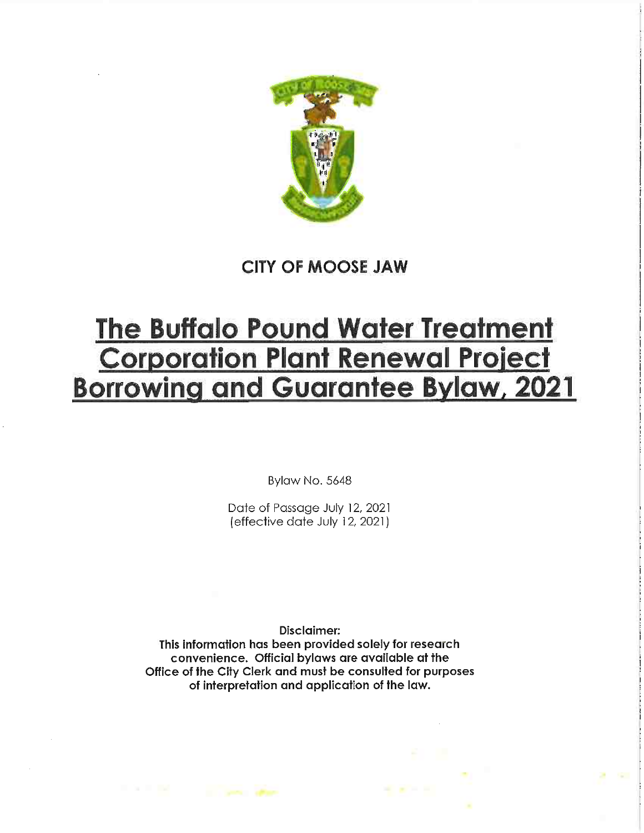

CITY OF MOOSE JAW

# The Buffalo Pound Water Treatment Corporation Plant Renewal Project Borrowing and Guarantee Bylaw, 2021

Bylaw No. 5648

Date of Passage July 12, 2021 (effective date July 12, 2021)

Disclaimer:

This information has been provided solely for research convenience. Official bylaws are available at the Office of the City Clerk and must be consulted for purposes of interpretation and application of the law.

The Control of Control of the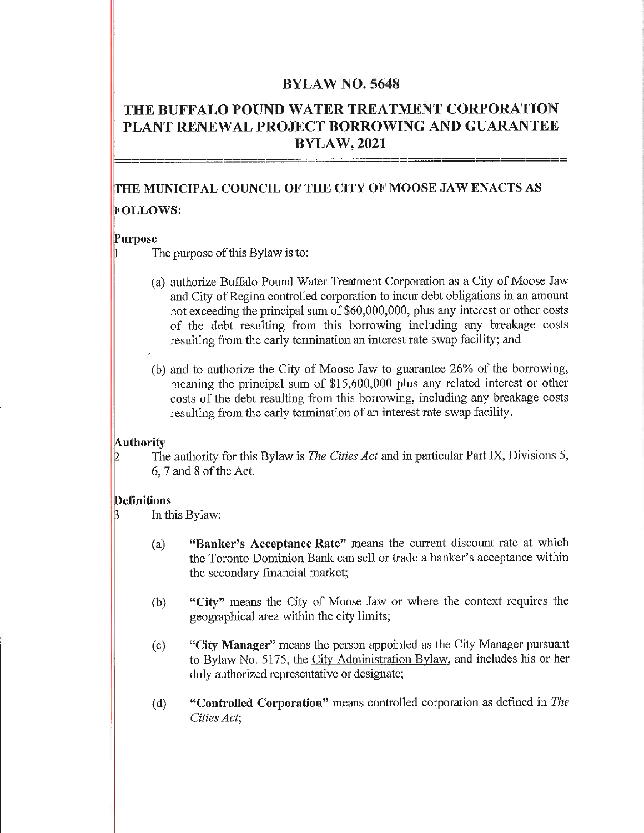### BYLAW NO. 5648

## THE BUFFALO POUND WATER TREATMENT CORPORATION PLANT RENEWAL PROJECT BORROWING AND GUARANTEE BYLAW, 2021

# fTHE MUNICIPAL COUNCIL OF THE CITY OF MOOSE JAW ENACTS AS FOLLOWS:

#### |Purpose

The purpose of this Bylaw is to:

- (a) authorize Buffalo Pound Water Treatment Corporation as a City of Moose Jaw and City of Regina controlled corporation to incur debt obligations in an amount not exceeding the principal sum of \$60,000,000, plus any interest or other costs of the debt resulting from this borrowing including any breakage costs resulting from the early termination an interest rate swap facility; and
- (b) and to authorize the City of Moose Jaw to guarantee 26% of the borrowing, meaning the principal sum of \$15,600,000 plus any related interest or other costs of the debt resulting from this borrowing, including any breakage costs resulting from the early termination of an interest rate swap facility.

#### **Authority**

The authority for this Bylaw is *The Cities Act* and in particular Part IX, Divisions 5, 6,7and8oftheAct.

#### **Definitions**

In this Bylaw:

- (a) "Banker's Acceptance Rate" means the current discount rate at which the Toronto Dominion Bank can sell or trade a banker's acceptance within the secondary financial market;
- (b) "City" means the City of Moose Jaw or where the context requires the geographical area within the city limits;
- (c) "City Manager" means the person appointed as the City Manager pursuant to Bylaw No. 5175, the City Administration Bylaw, and includes his or her duly authorized representative or designate;
- (d) "Controlled Corporation" means controlled corporation as defined in The Cities Act,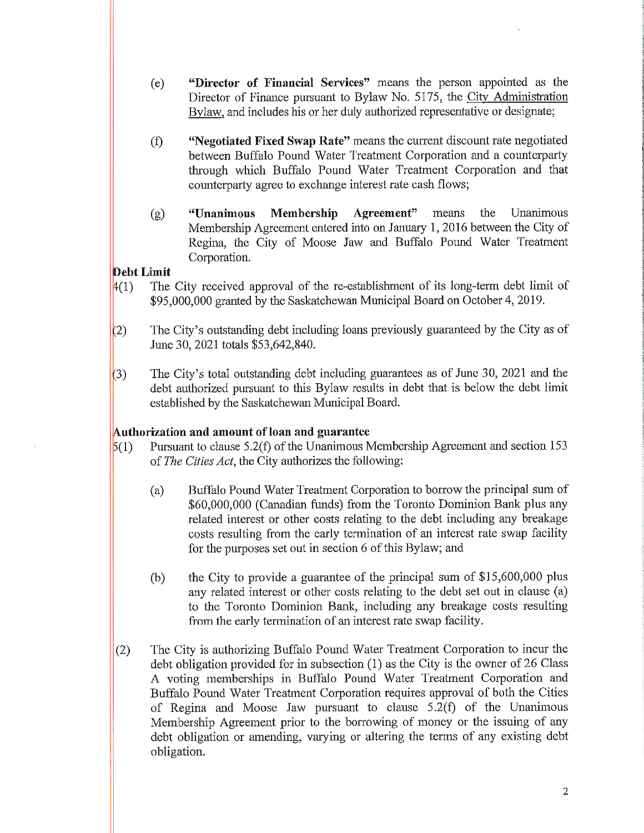- (c) "Director of Financial Services" means the person appointed as the Director of Finance pursuant to Bylaw No. 5175, the City Administration Bylaw, and includes his or her duly authorized representative or designate;
- (f) "Negotiated Fixed Swap Rate" means the current discount rate negotiated between Buffalo Pound Water Treatment Corporation and a counterparty through which Buffalo Pound Water Treatment Corporation and that counterparty agree to exchange interest rate cash flows;
- (g) "Unanimous Membership Agreement" means the Unanimous Membership Agreement entered into on January 1,2016 between the City of Regina, the City of Moose Jaw and Buffalo Pound Water Treatment Corporation.

#### pcbt Limit

- $(4(1)$  The City received approval of the re-establishment of its long-term debt limit of \$95,000,000 granted by the Saskatchewan Municipal Board on October 4, 2019.
- $(2)$  The City's outstanding debt including loans previously guaranteed by the City as of June 30, 2021 totals \$53,642,840.
- $(3)$  The City's total outstanding debt including guarantees as of June 30, 2021 and the debt authorized pursuant to this Bylaw results in debt that is below the debt limit established by the Saskatchewan Municipal Board.

## [Authorization and amount of loan and guarantee

- $(1)$  Pursuant to clause 5.2(f) of the Unanimous Membership Agreement and section 153 of The Cities Act, the City authorizes the following:
	- (a) Buffalo Pound Water Treatment Corporation to borrow the principal sum of \$60,000,000 (Canadian funds) from the Toronto Dominion Bank plus any related interest or other costs relating to the debt including any breakage costs resulting from the early termination of an interest rate swap facility for the purposes set out in section 6 of this Bylaw; and
	- (b) the City to provide a guarantee of the principal sum of \$15,600,000 plus any related interest or other costs relating to the debt set out in clause (a) to the Toronto Dominion Bank, including any breakage costs resulting from the early termination of an interest rate swap facility.
- (2) The City is authorizing Buffalo Pound Water Treatment Corporation to incur the debt obligation provided for in subsection (1) as the City is the owner of 26 Class A voting memberships in Buffalo Pound Water Treatment Corporation and Buffalo Pound Water Treatment Corporation requires approval of both the Cities of Regina and Moose Jaw pursuant to clause 5.2(f) of the Unanimous Membership Agreement prior to the borrowing of money or the issuing of any debt obligation or amending, varying or altering the terms of any existing debt obligation.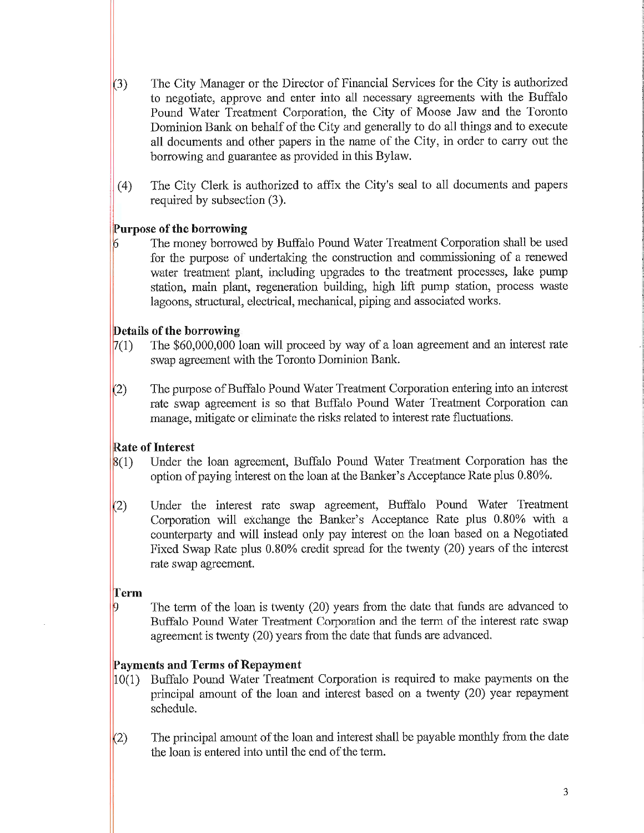- (3) The City Manager or the Director of Financial Services for the City is authorized to negotiate, approve and enter into all necessary agreements with the Buffalo Pound Water Treatment Corporation, the City of Moose Jaw and the Toronto Dominion Bank on behalf of the City and generally to do all things and to execute all documents and other papers in the name of the City, in order to carry out the borrowing and guarantee as provided in this Bylaw.
- (4) The City Clerk is authorized to affix the City's seal to all documents and papers required by subsection (3).

## [Purpose of the borrowing

The money borrowed by Buffalo Pound Water Treatment Corporation shall be used for the purpose of undertaking the construction and commissioning of a renewed water treatment plant, including upgrades to the treatment processes, lake pump station, main plant, regeneration building, high lift pump station, process waste lagoons, structural, electrical, mechanical, piping and associated works.

#### Details of the borrowing

- $7(1)$  The \$60,000,000 loan will proceed by way of a loan agreement and an interest rate swap agreement with the Toronto Dominion Bank.
- $(2)$  The purpose of Buffalo Pound Water Treatment Corporation entering into an interest rate swap agreement is so that Buffalo Pound Water Treatment Corporation can manage, mitigate or eliminate the risks related to interest rate fluctuations.

## Rate of Interest

- $(1)$  Under the loan agreement, Buffalo Pound Water Treatment Corporation has the option of paying interest on the loan at the Banker's Acceptance Rate plus 0.80%.
- (2) Under the interest rate swap agreement, Buffalo Pound Water Treatment Corporation will exchange the Banker's Acceptance Rate plus 0.80% with a counterparty and will instead only pay interest on the loan based on a Negotiated Fixed Swap Rate plus 0.80% credit spread for the twenty (20) years of the interest rate swap agreement.

#### Term

The term of the loan is twenty (20) years from the date that funds are advanced to Buffalo Pound Water Treatment Corporation and the term of the interest rate swap agreement is twenty (20) years from the date that funds are advanced.

#### Payments and Terms of Repayment

- |10(1) Buffalo Pound Water Treatment Corporation is required to make payments on the principal amount of the loan and interest based on a twenty (20) year repayment schedule.
- $(2)$  The principal amount of the loan and interest shall be payable monthly from the date the loan is entered into until the end of the term.